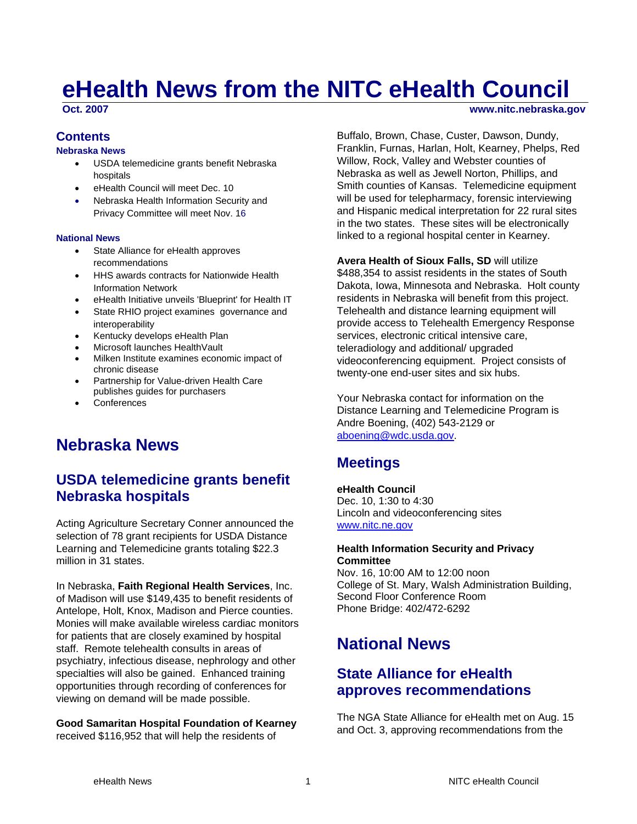# **eHealth News from the NITC eHealth Council**

**Oct. 2007** www.nitc.nebraska.gov

### **Contents**

#### **Nebraska News**

- USDA telemedicine grants benefit Nebraska hospitals
- eHealth Council will meet Dec. 10
- Nebraska Health Information Security and Privacy Committee will meet Nov. 16

#### **National News**

- State Alliance for eHealth approves recommendations
- HHS awards contracts for Nationwide Health Information Network
- eHealth Initiative unveils 'Blueprint' for Health IT
- State RHIO project examines governance and interoperability
- Kentucky develops eHealth Plan
- Microsoft launches HealthVault
- Milken Institute examines economic impact of chronic disease
- Partnership for Value-driven Health Care publishes guides for purchasers
- **Conferences**

## **Nebraska News**

## **USDA telemedicine grants benefit Nebraska hospitals**

Acting Agriculture Secretary Conner announced the selection of 78 grant recipients for USDA Distance Learning and Telemedicine grants totaling \$22.3 million in 31 states.

In Nebraska, **Faith Regional Health Services**, Inc. of Madison will use \$149,435 to benefit residents of Antelope, Holt, Knox, Madison and Pierce counties. Monies will make available wireless cardiac monitors for patients that are closely examined by hospital staff. Remote telehealth consults in areas of psychiatry, infectious disease, nephrology and other specialties will also be gained. Enhanced training opportunities through recording of conferences for viewing on demand will be made possible.

**Good Samaritan Hospital Foundation of Kearney** received \$116,952 that will help the residents of

Buffalo, Brown, Chase, Custer, Dawson, Dundy, Franklin, Furnas, Harlan, Holt, Kearney, Phelps, Red Willow, Rock, Valley and Webster counties of Nebraska as well as Jewell Norton, Phillips, and Smith counties of Kansas. Telemedicine equipment will be used for telepharmacy, forensic interviewing and Hispanic medical interpretation for 22 rural sites in the two states. These sites will be electronically linked to a regional hospital center in Kearney.

**Avera Health of Sioux Falls, SD** will utilize \$488,354 to assist residents in the states of South Dakota, Iowa, Minnesota and Nebraska. Holt county residents in Nebraska will benefit from this project. Telehealth and distance learning equipment will provide access to Telehealth Emergency Response services, electronic critical intensive care, teleradiology and additional/ upgraded videoconferencing equipment. Project consists of twenty-one end-user sites and six hubs.

Your Nebraska contact for information on the Distance Learning and Telemedicine Program is Andre Boening, (402) 543-2129 or [aboening@wdc.usda.gov](mailto:aboening@wdc.usda.gov).

## **Meetings**

#### **eHealth Council**  Dec. 10, 1:30 to 4:30 Lincoln and videoconferencing sites [www.nitc.ne.gov](http://www.nitc.ne.gov/)

#### **Health Information Security and Privacy Committee**

Nov. 16, 10:00 AM to 12:00 noon College of St. Mary, Walsh Administration Building, Second Floor Conference Room Phone Bridge: 402/472-6292

## **National News**

### **State Alliance for eHealth approves recommendations**

The NGA State Alliance for eHealth met on Aug. 15 and Oct. 3, approving recommendations from the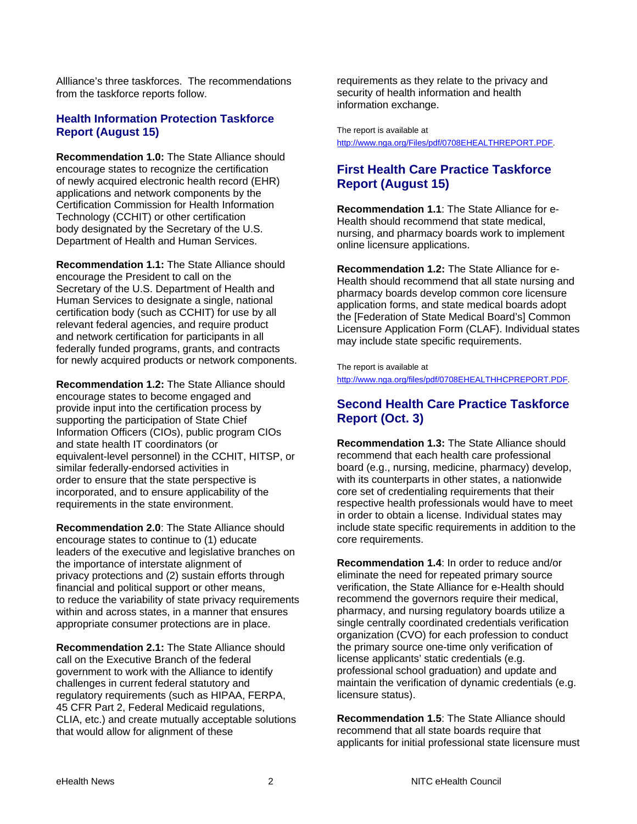Allliance's three taskforces. The recommendations from the taskforce reports follow.

### **Health Information Protection Taskforce Report (August 15)**

**Recommendation 1.0:** The State Alliance should encourage states to recognize the certification of newly acquired electronic health record (EHR) applications and network components by the Certification Commission for Health Information Technology (CCHIT) or other certification body designated by the Secretary of the U.S. Department of Health and Human Services.

**Recommendation 1.1:** The State Alliance should encourage the President to call on the Secretary of the U.S. Department of Health and Human Services to designate a single, national certification body (such as CCHIT) for use by all relevant federal agencies, and require product and network certification for participants in all federally funded programs, grants, and contracts for newly acquired products or network components.

**Recommendation 1.2:** The State Alliance should encourage states to become engaged and provide input into the certification process by supporting the participation of State Chief Information Officers (CIOs), public program CIOs and state health IT coordinators (or equivalent-level personnel) in the CCHIT, HITSP, or similar federally-endorsed activities in order to ensure that the state perspective is incorporated, and to ensure applicability of the requirements in the state environment.

**Recommendation 2.0**: The State Alliance should encourage states to continue to (1) educate leaders of the executive and legislative branches on the importance of interstate alignment of privacy protections and (2) sustain efforts through financial and political support or other means, to reduce the variability of state privacy requirements within and across states, in a manner that ensures appropriate consumer protections are in place.

**Recommendation 2.1:** The State Alliance should call on the Executive Branch of the federal government to work with the Alliance to identify challenges in current federal statutory and regulatory requirements (such as HIPAA, FERPA, 45 CFR Part 2, Federal Medicaid regulations, CLIA, etc.) and create mutually acceptable solutions that would allow for alignment of these

requirements as they relate to the privacy and security of health information and health information exchange.

The report is available at [http://www.nga.org/Files/pdf/0708EHEALTHREPORT.PDF.](http://www.nga.org/Files/pdf/0708EHEALTHREPORT.PDF)

### **First Health Care Practice Taskforce Report (August 15)**

**Recommendation 1.1**: The State Alliance for e-Health should recommend that state medical, nursing, and pharmacy boards work to implement online licensure applications.

**Recommendation 1.2:** The State Alliance for e-Health should recommend that all state nursing and pharmacy boards develop common core licensure application forms, and state medical boards adopt the [Federation of State Medical Board's] Common Licensure Application Form (CLAF). Individual states may include state specific requirements.

The report is available at [http://www.nga.org/files/pdf/0708EHEALTHHCPREPORT.PDF.](http://www.nga.org/files/pdf/0708EHEALTHHCPREPORT.PDF)

### **Second Health Care Practice Taskforce Report (Oct. 3)**

**Recommendation 1.3:** The State Alliance should recommend that each health care professional board (e.g., nursing, medicine, pharmacy) develop, with its counterparts in other states, a nationwide core set of credentialing requirements that their respective health professionals would have to meet in order to obtain a license. Individual states may include state specific requirements in addition to the core requirements.

**Recommendation 1.4**: In order to reduce and/or eliminate the need for repeated primary source verification, the State Alliance for e-Health should recommend the governors require their medical, pharmacy, and nursing regulatory boards utilize a single centrally coordinated credentials verification organization (CVO) for each profession to conduct the primary source one-time only verification of license applicants' static credentials (e.g. professional school graduation) and update and maintain the verification of dynamic credentials (e.g. licensure status).

**Recommendation 1.5**: The State Alliance should recommend that all state boards require that applicants for initial professional state licensure must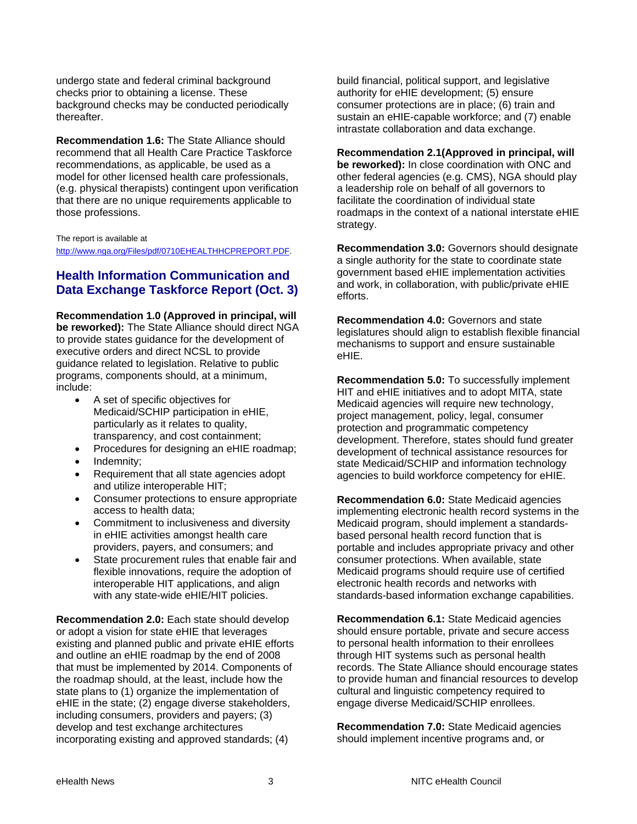undergo state and federal criminal background checks prior to obtaining a license. These background checks may be conducted periodically thereafter.

**Recommendation 1.6:** The State Alliance should recommend that all Health Care Practice Taskforce recommendations, as applicable, be used as a model for other licensed health care professionals, (e.g. physical therapists) contingent upon verification that there are no unique requirements applicable to those professions.

#### The report is available at

<http://www.nga.org/Files/pdf/0710EHEALTHHCPREPORT.PDF>.

### **Health Information Communication and Data Exchange Taskforce Report (Oct. 3)**

**Recommendation 1.0 (Approved in principal, will** 

**be reworked):** The State Alliance should direct NGA to provide states guidance for the development of executive orders and direct NCSL to provide guidance related to legislation. Relative to public programs, components should, at a minimum, include:

- A set of specific objectives for Medicaid/SCHIP participation in eHIE, particularly as it relates to quality, transparency, and cost containment;
- Procedures for designing an eHIE roadmap;
- Indemnity;
- Requirement that all state agencies adopt and utilize interoperable HIT;
- Consumer protections to ensure appropriate access to health data;
- Commitment to inclusiveness and diversity in eHIE activities amongst health care providers, payers, and consumers; and
- State procurement rules that enable fair and flexible innovations, require the adoption of interoperable HIT applications, and align with any state-wide eHIE/HIT policies.

**Recommendation 2.0:** Each state should develop or adopt a vision for state eHIE that leverages existing and planned public and private eHIE efforts and outline an eHIE roadmap by the end of 2008 that must be implemented by 2014. Components of the roadmap should, at the least, include how the state plans to (1) organize the implementation of eHIE in the state; (2) engage diverse stakeholders, including consumers, providers and payers; (3) develop and test exchange architectures incorporating existing and approved standards; (4)

build financial, political support, and legislative authority for eHIE development; (5) ensure consumer protections are in place; (6) train and sustain an eHIE-capable workforce; and (7) enable intrastate collaboration and data exchange.

**Recommendation 2.1(Approved in principal, will be reworked):** In close coordination with ONC and other federal agencies (e.g. CMS), NGA should play a leadership role on behalf of all governors to facilitate the coordination of individual state roadmaps in the context of a national interstate eHIE strategy.

**Recommendation 3.0:** Governors should designate a single authority for the state to coordinate state government based eHIE implementation activities and work, in collaboration, with public/private eHIE efforts.

**Recommendation 4.0:** Governors and state legislatures should align to establish flexible financial mechanisms to support and ensure sustainable eHIE.

**Recommendation 5.0:** To successfully implement HIT and eHIE initiatives and to adopt MITA, state Medicaid agencies will require new technology, project management, policy, legal, consumer protection and programmatic competency development. Therefore, states should fund greater development of technical assistance resources for state Medicaid/SCHIP and information technology agencies to build workforce competency for eHIE.

**Recommendation 6.0:** State Medicaid agencies implementing electronic health record systems in the Medicaid program, should implement a standardsbased personal health record function that is portable and includes appropriate privacy and other consumer protections. When available, state Medicaid programs should require use of certified electronic health records and networks with standards-based information exchange capabilities.

**Recommendation 6.1:** State Medicaid agencies should ensure portable, private and secure access to personal health information to their enrollees through HIT systems such as personal health records. The State Alliance should encourage states to provide human and financial resources to develop cultural and linguistic competency required to engage diverse Medicaid/SCHIP enrollees.

**Recommendation 7.0:** State Medicaid agencies should implement incentive programs and, or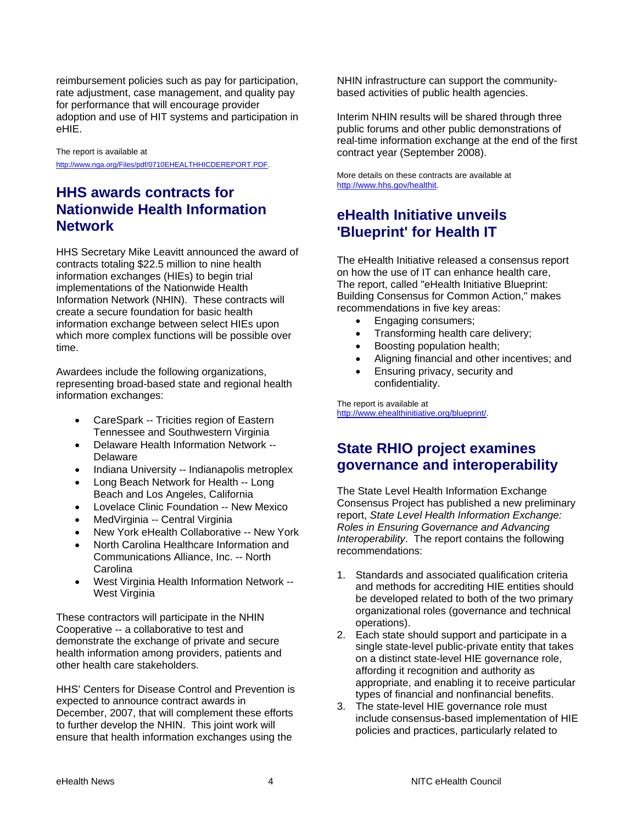reimbursement policies such as pay for participation, rate adjustment, case management, and quality pay for performance that will encourage provider adoption and use of HIT systems and participation in eHIE.

The report is available at <http://www.nga.org/Files/pdf/0710EHEALTHHICDEREPORT.PDF>.

## **HHS awards contracts for Nationwide Health Information Network**

HHS Secretary Mike Leavitt announced the award of contracts totaling \$22.5 million to nine health information exchanges (HIEs) to begin trial implementations of the Nationwide Health Information Network (NHIN). These contracts will create a secure foundation for basic health information exchange between select HIEs upon which more complex functions will be possible over time.

Awardees include the following organizations, representing broad-based state and regional health information exchanges:

- CareSpark -- Tricities region of Eastern Tennessee and Southwestern Virginia
- Delaware Health Information Network -- Delaware
- Indiana University -- Indianapolis metroplex
- Long Beach Network for Health -- Long Beach and Los Angeles, California
- Lovelace Clinic Foundation -- New Mexico
- MedVirginia -- Central Virginia
- New York eHealth Collaborative -- New York
- North Carolina Healthcare Information and Communications Alliance, Inc. -- North Carolina
- West Virginia Health Information Network -- West Virginia

These contractors will participate in the NHIN Cooperative -- a collaborative to test and demonstrate the exchange of private and secure health information among providers, patients and other health care stakeholders.

HHS' Centers for Disease Control and Prevention is expected to announce contract awards in December, 2007, that will complement these efforts to further develop the NHIN. This joint work will ensure that health information exchanges using the

NHIN infrastructure can support the communitybased activities of public health agencies.

Interim NHIN results will be shared through three public forums and other public demonstrations of real-time information exchange at the end of the first contract year (September 2008).

More details on these contracts are available at [http://www.hhs.gov/healthit.](http://www.hhs.gov/healthit)

## **eHealth Initiative unveils 'Blueprint' for Health IT**

The eHealth Initiative released a consensus report on how the use of IT can enhance health care, The report, called "eHealth Initiative Blueprint: Building Consensus for Common Action," makes recommendations in five key areas:

- Engaging consumers;
- Transforming health care delivery;
- Boosting population health;
- Aligning financial and other incentives; and
- Ensuring privacy, security and confidentiality.

The report is available at [http://www.ehealthinitiative.org/blueprint/.](http://www.ehealthinitiative.org/blueprint/)

### **State RHIO project examines governance and interoperability**

The State Level Health Information Exchange Consensus Project has published a new preliminary report, *State Level Health Information Exchange: Roles in Ensuring Governance and Advancing Interoperability*. The report contains the following recommendations:

- 1. Standards and associated qualification criteria and methods for accrediting HIE entities should be developed related to both of the two primary organizational roles (governance and technical operations).
- 2. Each state should support and participate in a single state-level public-private entity that takes on a distinct state-level HIE governance role, affording it recognition and authority as appropriate, and enabling it to receive particular types of financial and nonfinancial benefits.
- 3. The state-level HIE governance role must include consensus-based implementation of HIE policies and practices, particularly related to